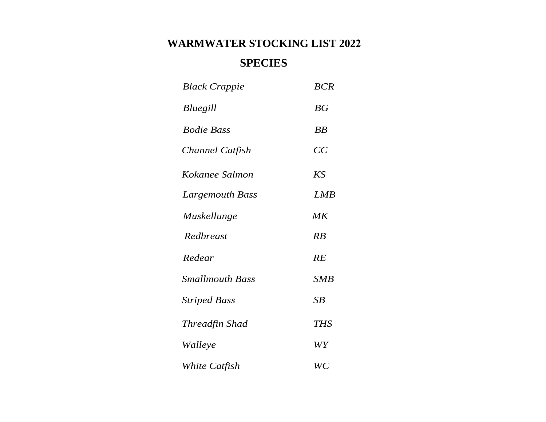## **SPECIES**

| <b>Black Crappie</b>   | <b>BCR</b>  |
|------------------------|-------------|
| Bluegill               | BG          |
| <b>Bodie Bass</b>      | BB          |
| Channel Catfish        | CC          |
| Kokanee Salmon         | <b>KS</b>   |
| Largemouth Bass        | ${\it LMB}$ |
| Muskellunge            | MK          |
| Redbreast              | RB          |
| Redear                 | RE          |
| <b>Smallmouth Bass</b> | <b>SMB</b>  |
| <b>Striped Bass</b>    | SB          |
| Threadfin Shad         | <b>THS</b>  |
| Walleye                | WY          |
| White Catfish          | WC          |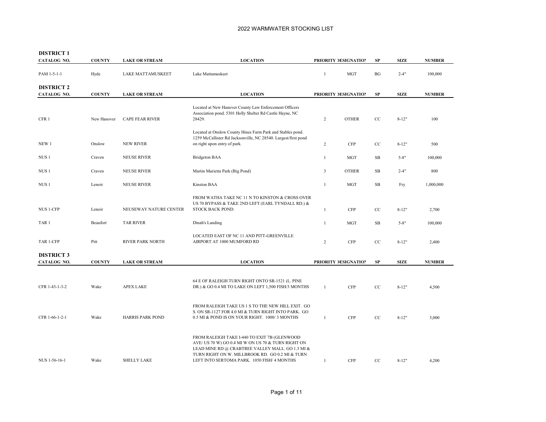| <b>DISTRICT 1</b><br>CATALOG NO. | <b>COUNTY</b> | <b>LAKE OR STREAM</b>   | <b>LOCATION</b>                                                                                                                                                                                                                                         |              | PRIORITY DESIGNATION | ${\bf SP}$ | <b>SIZE</b> | <b>NUMBER</b> |
|----------------------------------|---------------|-------------------------|---------------------------------------------------------------------------------------------------------------------------------------------------------------------------------------------------------------------------------------------------------|--------------|----------------------|------------|-------------|---------------|
| PAM 1-5-1-1                      | Hyde          | LAKE MATTAMUSKEET       | Lake Mattamuskeet                                                                                                                                                                                                                                       | $\mathbf{1}$ | <b>MGT</b>           | BG         | $2 - 4"$    | 100,000       |
| <b>DISTRICT 2</b><br>CATALOG NO. | <b>COUNTY</b> | <b>LAKE OR STREAM</b>   | <b>LOCATION</b>                                                                                                                                                                                                                                         |              | PRIORITY DESIGNATION | SP         | <b>SIZE</b> | <b>NUMBER</b> |
| CFR <sub>1</sub>                 | New Hanover   | <b>CAPE FEAR RIVER</b>  | Located at New Hanover County Law Enforcement Officers<br>Association pond. 5301 Holly Shelter Rd Castle Hayne, NC<br>28429.                                                                                                                            | 2            | <b>OTHER</b>         | CC         | $8 - 12"$   | 100           |
| NEW 1                            | Onslow        | <b>NEW RIVER</b>        | Located at Onslow County Hines Farm Park and Stables pond.<br>1259 McCallister Rd Jacksonville, NC 28540. Largest/first pond<br>on right upon entry of park.                                                                                            | 2            | <b>CFP</b>           | CC         | $8 - 12"$   | 500           |
| NUS <sub>1</sub>                 | Craven        | <b>NEUSE RIVER</b>      | <b>Bridgeton BAA</b>                                                                                                                                                                                                                                    | 1            | <b>MGT</b>           | SB         | $5 - 8"$    | 100,000       |
| NUS 1                            | Craven        | <b>NEUSE RIVER</b>      | Martin Marietta Park (Big Pond)                                                                                                                                                                                                                         | 3            | <b>OTHER</b>         | <b>SB</b>  | $2 - 4"$    | 800           |
| NUS <sub>1</sub>                 | Lenoir        | <b>NEUSE RIVER</b>      | <b>Kinston BAA</b>                                                                                                                                                                                                                                      | $\mathbf{1}$ | <b>MGT</b>           | <b>SB</b>  | Fry         | 1,000,000     |
| NUS 1-CFP                        | Lenoir        | NEUSEWAY NATURE CENTER  | FROM WATHA TAKE NC 11 N TO KINSTON & CROSS OVER<br>US 70 BYPASS & TAKE 2ND LEFT (EARL TYNDALL RD.) &<br>STOCK BACK POND.                                                                                                                                | $\mathbf{1}$ | <b>CFP</b>           | CC         | $8 - 12"$   | 2,700         |
| TAR <sub>1</sub>                 | Beaufort      | <b>TAR RIVER</b>        | Dinah's Landing                                                                                                                                                                                                                                         | $\mathbf{1}$ | <b>MGT</b>           | <b>SB</b>  | $5 - 8"$    | 100,000       |
| TAR 1-CFP                        | Pitt          | <b>RIVER PARK NORTH</b> | LOCATED EAST OF NC 11 AND PITT-GREENVILLE<br>AIRPORT AT 1000 MUMFORD RD                                                                                                                                                                                 | 2            | <b>CFP</b>           | CC         | $8 - 12"$   | 2,400         |
| <b>DISTRICT 3</b>                |               |                         |                                                                                                                                                                                                                                                         |              |                      |            |             |               |
| CATALOG NO.                      | <b>COUNTY</b> | <b>LAKE OR STREAM</b>   | <b>LOCATION</b>                                                                                                                                                                                                                                         |              | PRIORITY DESIGNATION | SP         | <b>SIZE</b> | <b>NUMBER</b> |
| CFR 1-43-1-3-2                   | Wake          | <b>APEX LAKE</b>        | 64 E OF RALEIGH TURN RIGHT ONTO SR-1521 (L. PINE<br>DR.) & GO 0.4 MI TO LAKE ON LEFT 1,500 FISH/3 MONTHS                                                                                                                                                | $\mathbf{1}$ | <b>CFP</b>           | CC         | $8 - 12"$   | 4,500         |
| CFR 1-66-1-2-1                   | Wake          | <b>HARRIS PARK POND</b> | FROM RALEIGH TAKE US 1 S TO THE NEW HILL EXIT. GO<br>S. ON SR-1127 FOR 4.0 MI & TURN RIGHT INTO PARK. GO<br>0.5 MI & POND IS ON YOUR RIGHT. 1000/3 MONTHS                                                                                               | $\mathbf{1}$ | <b>CFP</b>           | CC         | $8 - 12"$   | 3,000         |
| NUS 1-56-16-1                    | Wake          | <b>SHELLY LAKE</b>      | FROM RALEIGH TAKE I-440 TO EXIT 7B (GLENWOOD<br>AVE/US 70 W) GO 0.4 MI W ON US 70 & TURN RIGHT ON<br>LEAD MINE RD @ CRABTREE VALLEY MALL. GO 1.3 MI &<br>TURN RIGHT ON W. MILLBROOK RD. GO 0.2 MI & TURN<br>LEFT INTO SERTOMA PARK. 1050 FISH/ 4 MONTHS | $\mathbf{1}$ | <b>CFP</b>           | CC         | $8 - 12"$   | 4,200         |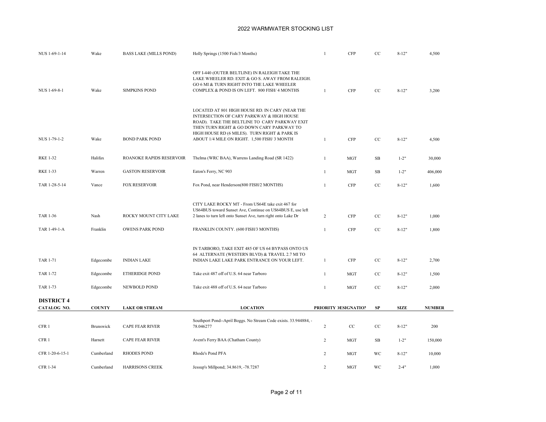| NUS 1-69-1-14            | Wake             | <b>BASS LAKE (MILLS POND)</b>                   | Holly Springs (1500 Fish/3 Months)                                                                                                                                                                                                                                                          | $\mathbf{1}$                   | <b>CFP</b>               | $\rm{CC}$ | $8 - 12"$              | 4,500          |
|--------------------------|------------------|-------------------------------------------------|---------------------------------------------------------------------------------------------------------------------------------------------------------------------------------------------------------------------------------------------------------------------------------------------|--------------------------------|--------------------------|-----------|------------------------|----------------|
| NUS 1-69-8-1             | Wake             | <b>SIMPKINS POND</b>                            | OFF I-440 (OUTER BELTLINE) IN RALEIGH TAKE THE<br>LAKE WHEELER RD. EXIT & GO S. AWAY FROM RALEIGH.<br>GO 6 MI & TURN RIGHT INTO THE LAKE WHEELER<br>COMPLEX & POND IS ON LEFT. 800 FISH/ 4 MONTHS                                                                                           | $\mathbf{1}$                   | <b>CFP</b>               | CC        | $8 - 12"$              | 3,200          |
| NUS 1-79-1-2             | Wake             | <b>BOND PARK POND</b>                           | LOCATED AT 801 HIGH HOUSE RD. IN CARY (NEAR THE<br>INTERSECTION OF CARY PARKWAY & HIGH HOUSE<br>ROAD). TAKE THE BELTLINE TO CARY PARKWAY EXIT<br>THEN TURN RIGHT & GO DOWN CARY PARKWAY TO<br>HIGH HOUSE RD (6 MILES). TURN RIGHT & PARK IS<br>ABOUT 1/4 MILE ON RIGHT. 1,500 FISH/ 3 MONTH | $\mathbf{1}$                   | <b>CFP</b>               | CC        | $8 - 12"$              | 4,500          |
| <b>RKE 1-32</b>          | Halifax          | ROANOKE RAPIDS RESERVOIR                        | Thelma (WRC BAA), Warrens Landing Road (SR 1422)                                                                                                                                                                                                                                            | $\mathbf{1}$                   | <b>MGT</b>               | SB        | $1 - 2"$               | 30,000         |
| <b>RKE 1-33</b>          | Warren           | <b>GASTON RESERVOIR</b>                         | Eaton's Ferry, NC 903                                                                                                                                                                                                                                                                       | $\mathbf{1}$                   | <b>MGT</b>               | SB        | $1 - 2"$               | 406,000        |
| TAR 1-28-5-14            | Vance            | <b>FOX RESERVOIR</b>                            | Fox Pond, near Henderson(800 FISH/2 MONTHS)                                                                                                                                                                                                                                                 | $\mathbf{1}$                   | <b>CFP</b>               | CC        | $8 - 12"$              | 1,600          |
| TAR 1-36<br>TAR 1-49-1-A | Nash<br>Franklin | ROCKY MOUNT CITY LAKE<br><b>OWENS PARK POND</b> | CITY LAKE ROCKY MT - From US64E take exit 467 for<br>US64BUS toward Sunset Ave, Continue on US64BUS E, use left<br>2 lanes to turn left onto Sunset Ave, turn right onto Lake Dr<br>FRANKLIN COUNTY. (600 FISH/3 MONTHS)                                                                    | $\overline{2}$<br>$\mathbf{1}$ | <b>CFP</b><br><b>CFP</b> | CC<br>CC  | $8 - 12"$<br>$8 - 12"$ | 1,000<br>1,800 |
| <b>TAR 1-71</b>          | Edgecombe        | <b>INDIAN LAKE</b>                              | IN TARBORO, TAKE EXIT 485 OF US 64 BYPASS ONTO US<br>64 ALTERNATE (WESTERN BLVD) & TRAVEL 2.7 MI TO<br>INDIAN LAKE LAKE PARK ENTRANCE ON YOUR LEFT.                                                                                                                                         | $\mathbf{1}$                   | <b>CFP</b>               | CC        | $8 - 12"$              | 2,700          |
| <b>TAR 1-72</b>          | Edgecombe        | <b>ETHERIDGE POND</b>                           | Take exit 487 off of U.S. 64 near Tarboro                                                                                                                                                                                                                                                   | $\mathbf{1}$                   | <b>MGT</b>               | $\rm{CC}$ | $8 - 12"$              | 1,500          |
| <b>TAR 1-73</b>          | Edgecombe        | <b>NEWBOLD POND</b>                             | Take exit 488 off of U.S. 64 near Tarboro                                                                                                                                                                                                                                                   | $\mathbf{1}$                   | <b>MGT</b>               | CC        | $8 - 12"$              | 2,000          |
| <b>DISTRICT 4</b>        |                  |                                                 |                                                                                                                                                                                                                                                                                             |                                |                          |           |                        |                |
| CATALOG NO.              | <b>COUNTY</b>    | <b>LAKE OR STREAM</b>                           | <b>LOCATION</b>                                                                                                                                                                                                                                                                             |                                | PRIORITY DESIGNATION     | SP        | <b>SIZE</b>            | <b>NUMBER</b>  |
| CFR 1                    | Brunswick        | <b>CAPE FEAR RIVER</b>                          | Southport Pond--April Boggs. No Stream Code exists. 33.944884, -<br>78.046277                                                                                                                                                                                                               | $\overline{2}$                 | $\rm CC$                 | $\rm{CC}$ | $8 - 12"$              | 200            |
| CFR 1                    | Harnett          | <b>CAPE FEAR RIVER</b>                          | Avent's Ferry BAA (Chatham County)                                                                                                                                                                                                                                                          | $\overline{2}$                 | MGT                      | SB        | $1 - 2"$               | 150,000        |
| CFR 1-20-6-15-1          | Cumberland       | <b>RHODES POND</b>                              | Rhode's Pond PFA                                                                                                                                                                                                                                                                            | $\overline{2}$                 | <b>MGT</b>               | WC        | $8 - 12"$              | 10,000         |
| <b>CFR 1-34</b>          | Cumberland       | <b>HARRISONS CREEK</b>                          | Jessup's Millpond; 34.8619, -78.7287                                                                                                                                                                                                                                                        | $\overline{2}$                 | <b>MGT</b>               | <b>WC</b> | $2 - 4"$               | 1,000          |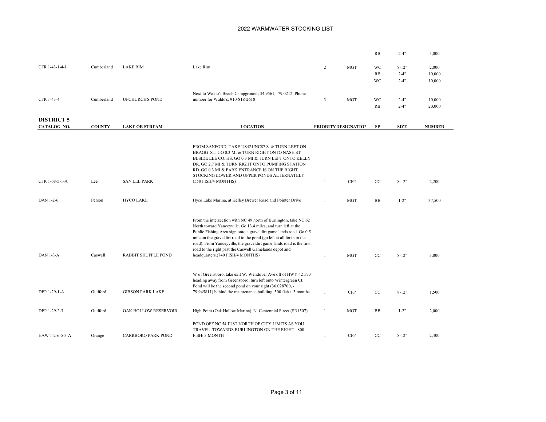|                   |               |                            |                                                                                                                                   |                |                      | RB        | $2 - 4"$    | 5,000         |
|-------------------|---------------|----------------------------|-----------------------------------------------------------------------------------------------------------------------------------|----------------|----------------------|-----------|-------------|---------------|
|                   |               |                            |                                                                                                                                   |                |                      |           |             |               |
| CFR 1-43-1-4-1    | Cumberland    | <b>LAKE RIM</b>            | Lake Rim                                                                                                                          | $\overline{2}$ | <b>MGT</b>           | WC        | $8-12"$     | 2,000         |
|                   |               |                            |                                                                                                                                   |                |                      | RB        | $2 - 4"$    | 10,000        |
|                   |               |                            |                                                                                                                                   |                |                      | WC        | $2 - 4"$    | 10,000        |
|                   |               |                            | Next to Waldo's Beach Campground; 34.9561, -79.0212. Phone                                                                        |                |                      |           |             |               |
| CFR 1-43-4        | Cumberland    | <b>UPCHURCH'S POND</b>     | number for Waldo's: 910-818-2618                                                                                                  | $\overline{3}$ | <b>MGT</b>           | WC        | $2 - 4"$    | 10,000        |
|                   |               |                            |                                                                                                                                   |                |                      | RB        | $2 - 4"$    | 20,000        |
|                   |               |                            |                                                                                                                                   |                |                      |           |             |               |
| <b>DISTRICT 5</b> |               |                            |                                                                                                                                   |                |                      |           |             |               |
| CATALOG NO.       | <b>COUNTY</b> | <b>LAKE OR STREAM</b>      | <b>LOCATION</b>                                                                                                                   |                | PRIORITY DESIGNATION | <b>SP</b> | <b>SIZE</b> | <b>NUMBER</b> |
|                   |               |                            |                                                                                                                                   |                |                      |           |             |               |
|                   |               |                            |                                                                                                                                   |                |                      |           |             |               |
|                   |               |                            | FROM SANFORD, TAKE US421/NC87 S. & TURN LEFT ON<br>BRAGG ST. GO 0.3 MI & TURN RIGHT ONTO NASH ST                                  |                |                      |           |             |               |
|                   |               |                            | BESIDE LEE CO. HS. GO 0.3 MI & TURN LEFT ONTO KELLY                                                                               |                |                      |           |             |               |
|                   |               |                            | DR. GO 2.7 MI & TURN RIGHT ONTO PUMPING STATION                                                                                   |                |                      |           |             |               |
|                   |               |                            | RD. GO 0.3 MI & PARK ENTRANCE IS ON THE RIGHT.                                                                                    |                |                      |           |             |               |
| CFR 1-68-5-1-A    | Lee           | <b>SAN LEE PARK</b>        | STOCKING LOWER AND UPPER PONDS ALTERNATELY<br>(550 FISH/4 MONTHS)                                                                 | $\mathbf{1}$   | <b>CFP</b>           | $\rm{CC}$ | $8 - 12"$   | 2,200         |
|                   |               |                            |                                                                                                                                   |                |                      |           |             |               |
|                   |               |                            |                                                                                                                                   |                |                      |           |             |               |
| DAN 1-2-6         | Person        | <b>HYCO LAKE</b>           | Hyco Lake Marina, at Kelley Brewer Road and Pointer Drive                                                                         | $\mathbf{1}$   | <b>MGT</b>           | <b>BB</b> | $1 - 2"$    | 37,500        |
|                   |               |                            |                                                                                                                                   |                |                      |           |             |               |
|                   |               |                            |                                                                                                                                   |                |                      |           |             |               |
|                   |               |                            | From the intersection with NC 49 north of Burlington, take NC 62<br>North toward Yanceyville. Go 13.4 miles, and turn left at the |                |                      |           |             |               |
|                   |               |                            | Public Fishing Area sign onto a graveldirt game lands road. Go 0.5                                                                |                |                      |           |             |               |
|                   |               |                            | mile on the graveldirt road to the pond (go left at all forks in the                                                              |                |                      |           |             |               |
|                   |               |                            | road). From Yanceyville, the graveldirt game lands road is the first                                                              |                |                      |           |             |               |
| $DAN$ 1-3- $A$    | Caswell       | <b>RABBIT SHUFFLE POND</b> | road to the right past the Caswell Gamelands depot and<br>headquarters.(740 FISH/4 MONTHS)                                        | $\mathbf{1}$   | MGT                  | CC        | $8 - 12"$   | 3,000         |
|                   |               |                            |                                                                                                                                   |                |                      |           |             |               |
|                   |               |                            |                                                                                                                                   |                |                      |           |             |               |
|                   |               |                            | W of Greensboro, take exit W. Wendover Ave off of HWY 421/73                                                                      |                |                      |           |             |               |
|                   |               |                            | heading away from Greensboro, turn left onto Wintergreen Ct.<br>Pond will be the second pond on your right (36.028700, -          |                |                      |           |             |               |
| DEP 1-29-1-A      | Guilford      | <b>GIBSON PARK LAKE</b>    | 79.945811) behind the maintenance building. 500 fish / 3 months                                                                   | $\mathbf{1}$   | <b>CFP</b>           | CC        | $8 - 12"$   | 1,500         |
|                   |               |                            |                                                                                                                                   |                |                      |           |             |               |
|                   |               |                            |                                                                                                                                   |                |                      |           |             |               |
| DEP 1-29-2-3      | Guilford      | OAK HOLLOW RESERVOIR       | High Point (Oak Hollow Marina), N. Centennial Street (SR1507)                                                                     | $\mathbf{1}$   | <b>MGT</b>           | <b>BB</b> | $1 - 2"$    | 2,000         |
|                   |               |                            |                                                                                                                                   |                |                      |           |             |               |
|                   |               |                            | POND OFF NC 54 JUST NORTH OF CITY LIMITS AS YOU<br>TRAVEL TOWARDS BURLINGTON ON THE RIGHT. 800                                    |                |                      |           |             |               |
| HAW 1-2-6-5-3-A   | Orange        | <b>CARRBORO PARK POND</b>  | FISH/ 3 MONTH                                                                                                                     | $\mathbf{1}$   | <b>CFP</b>           | CC        | $8-12"$     | 2,400         |
|                   |               |                            |                                                                                                                                   |                |                      |           |             |               |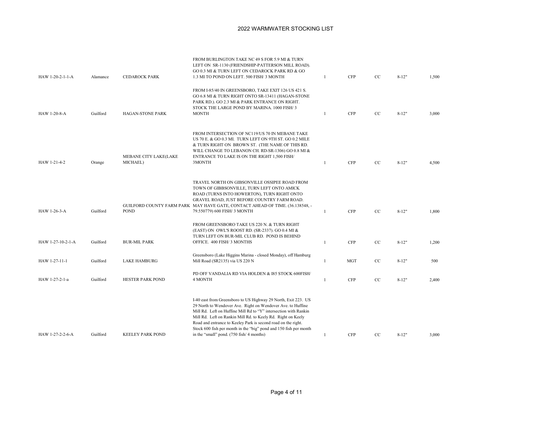| HAW 1-20-2-1-1-A  | Alamance | <b>CEDAROCK PARK</b>              | FROM BURLINGTON TAKE NC 49 S FOR 5.9 MI & TURN<br>LEFT ON SR-1130 (FRIENDSHIP-PATTERSON MILL ROAD).<br>GO 0.3 MI & TURN LEFT ON CEDAROCK PARK RD & GO<br>1.3 MI TO POND ON LEFT. 500 FISH/ 3 MONTH                                                                                                                                                                                                                                                  | -1           | <b>CFP</b> | CC          | $8-12"$   | 1,500 |
|-------------------|----------|-----------------------------------|-----------------------------------------------------------------------------------------------------------------------------------------------------------------------------------------------------------------------------------------------------------------------------------------------------------------------------------------------------------------------------------------------------------------------------------------------------|--------------|------------|-------------|-----------|-------|
| HAW 1-20-8-A      | Guilford | HAGAN-STONE PARK                  | FROM I-85/40 IN GREENSBORO, TAKE EXIT 126 US 421 S.<br>GO 6.8 MI & TURN RIGHT ONTO SR-13411 (HAGAN-STONE<br>PARK RD.). GO 2.3 MI & PARK ENTRANCE ON RIGHT.<br>STOCK THE LARGE POND BY MARINA. 1000 FISH/ 3<br><b>MONTH</b>                                                                                                                                                                                                                          | $\mathbf{1}$ | <b>CFP</b> | CC          | $8 - 12"$ | 3,000 |
| HAW 1-21-4-2      | Orange   | MEBANE CITY LAKE(LAKE<br>MICHAEL) | FROM INTERSECTION OF NC119/US 70 IN MEBANE TAKE<br>US 70 E. & GO 0.3 MI. TURN LEFT ON 9TH ST. GO 0.2 MILE<br>& TURN RIGHT ON BROWN ST. (THE NAME OF THIS RD.<br>WILL CHANGE TO LEBANON CH. RD-SR-1306) GO 0.8 MI &<br>ENTRANCE TO LAKE IS ON THE RIGHT 1,500 FISH/<br>3MONTH                                                                                                                                                                        | $\mathbf{1}$ | <b>CFP</b> | CC          | $8-12"$   | 4,500 |
| HAW 1-26-3-A      | Guilford | <b>POND</b>                       | TRAVEL NORTH ON GIBSONVILLE OSSIPEE ROAD FROM<br>TOWN OF GIBBSONVILLE, TURN LEFT ONTO AMICK<br>ROAD (TURNS INTO HOWERTON), TURN RIGHT ONTO<br>GRAVEL ROAD, JUST BEFORE COUNTRY FARM ROAD.<br>GUILFORD COUNTY FARM PARK MAY HAVE GATE, CONTACT AHEAD OF TIME. (36.138548, -<br>79.550779) 600 FISH/ 3 MONTH                                                                                                                                          | $\mathbf{1}$ | <b>CFP</b> | $_{\rm CC}$ | $8 - 12"$ | 1,800 |
| HAW 1-27-10-2-1-A | Guilford | <b>BUR-MIL PARK</b>               | FROM GREENSBORO TAKE US 220 N. & TURN RIGHT<br>(EAST) ON OWL'S ROOST RD. (SR-2337). GO 0.4 MI &<br>TURN LEFT ON BUR-MIL CLUB RD. POND IS BEHIND<br>OFFICE. 400 FISH/ 3 MONTHS                                                                                                                                                                                                                                                                       | -1           | <b>CFP</b> | CC          | $8 - 12"$ | 1,200 |
| HAW 1-27-11-1     | Guilford | <b>LAKE HAMBURG</b>               | Greensboro (Lake Higgins Marina - closed Monday), off Hamburg<br>Mill Road (SR2135) via US 220 N                                                                                                                                                                                                                                                                                                                                                    | -1           | <b>MGT</b> | CC          | $8 - 12"$ | 500   |
| HAW 1-27-2-1-a    | Guilford | <b>HESTER PARK POND</b>           | PD OFF VANDALIA RD VIA HOLDEN & 185 STOCK 600FISH/<br>4 MONTH                                                                                                                                                                                                                                                                                                                                                                                       | -1           | <b>CFP</b> | CC          | $8 - 12"$ | 2,400 |
| HAW 1-27-2-2-6-A  | Guilford | <b>KEELEY PARK POND</b>           | I-40 east from Greensboro to US Highway 29 North, Exit 223. US<br>29 North to Wendover Ave. Right on Wendover Ave. to Huffine<br>Mill Rd. Left on Huffine Mill Rd to "Y" intersection with Rankin<br>Mill Rd. Left on Rankin Mill Rd. to Keely Rd. Right on Keely<br>Road and entrance to Keeley Park is second road on the right.<br>Stock 600 fish per month in the "big" pond and 150 fish per month<br>in the "small" pond. (750 fish/4 months) | 1            | <b>CFP</b> | $_{\rm CC}$ | $8 - 12"$ | 3,000 |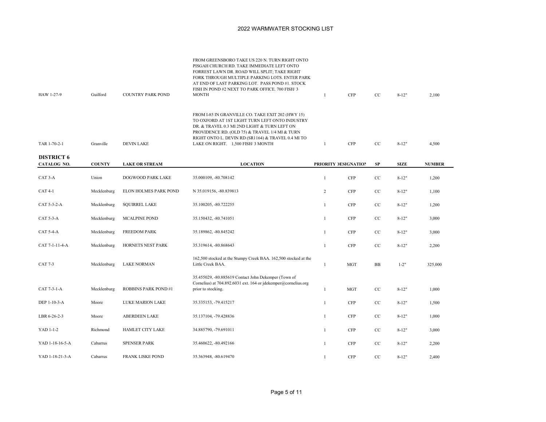| HAW 1-27-9        | Guilford      | <b>COUNTRY PARK POND</b>   | FROM GREENSBORO TAKE US 220 N. TURN RIGHT ONTO<br>PISGAH CHURCH RD. TAKE IMMEDIATE LEFT ONTO<br>FORREST LAWN DR. ROAD WILL SPLIT; TAKE RIGHT<br>FORK THROUGH MULTIPLE PARKING LOTS. ENTER PARK<br>AT END OF LAST PARKING LOT. PASS POND #1. STOCK<br>FISH IN POND #2 NEXT TO PARK OFFICE. 700 FISH/ 3<br><b>MONTH</b> | $\mathbf{1}$ | <b>CFP</b>           | CC          | $8 - 12"$   | 2,100         |
|-------------------|---------------|----------------------------|-----------------------------------------------------------------------------------------------------------------------------------------------------------------------------------------------------------------------------------------------------------------------------------------------------------------------|--------------|----------------------|-------------|-------------|---------------|
| TAR 1-70-2-1      | Granville     | <b>DEVIN LAKE</b>          | FROM I-85 IN GRANVILLE CO. TAKE EXIT 202 (HWY 15)<br>TO OXFORD AT 1ST LIGHT TURN LEFT ONTO INDUSTRY<br>DR. & TRAVEL 0.3 MI 2ND LIGHT & TURN LEFT ON<br>PROVIDENCE RD. (OLD 75) & TRAVEL 1/4 MI & TURN<br>RIGHT ONTO L. DEVIN RD (SR1164) & TRAVEL 0.4 MI TO<br>LAKE ON RIGHT. 1,500 FISH/ 3 MONTH                     | $\mathbf{1}$ | <b>CFP</b>           | CC          | $8 - 12"$   | 4,500         |
| <b>DISTRICT 6</b> |               |                            |                                                                                                                                                                                                                                                                                                                       |              |                      |             |             |               |
| CATALOG NO.       | <b>COUNTY</b> | <b>LAKE OR STREAM</b>      | <b>LOCATION</b>                                                                                                                                                                                                                                                                                                       |              | PRIORITY DESIGNATION | SP          | <b>SIZE</b> | <b>NUMBER</b> |
| CAT 3-A           | Union         | DOGWOOD PARK LAKE          | 35.000109, -80.708142                                                                                                                                                                                                                                                                                                 | $\mathbf{1}$ | <b>CFP</b>           | CC          | $8 - 12"$   | 1,200         |
| <b>CAT 4-1</b>    | Mecklenburg   | ELON HOLMES PARK POND      | N 35.019156, -80.839813                                                                                                                                                                                                                                                                                               | 2            | <b>CFP</b>           | CC          | $8 - 12"$   | 1,100         |
| CAT 5-3-2-A       | Mecklenburg   | <b>SQUIRREL LAKE</b>       | 35.100205, -80.722255                                                                                                                                                                                                                                                                                                 | $\mathbf{1}$ | <b>CFP</b>           | CC          | $8 - 12"$   | 1,200         |
| CAT 5-3-A         | Mecklenburg   | MCALPINE POND              | 35.150432, -80.741051                                                                                                                                                                                                                                                                                                 | $\mathbf{1}$ | <b>CFP</b>           | CC          | $8 - 12"$   | 3,000         |
| <b>CAT 5-4-A</b>  | Mecklenburg   | <b>FREEDOM PARK</b>        | 35.189862, -80.845242                                                                                                                                                                                                                                                                                                 | $\mathbf{1}$ | <b>CFP</b>           | CC          | $8 - 12"$   | 3,000         |
| CAT 7-1-11-4-A    | Mecklenburg   | HORNETS NEST PARK          | 35.319614, -80.868643                                                                                                                                                                                                                                                                                                 | $\mathbf{1}$ | <b>CFP</b>           | CC          | $8 - 12"$   | 2,200         |
| CAT 7-3           | Mecklenburg   | <b>LAKE NORMAN</b>         | 162,500 stocked at the Stumpy Creek BAA. 162,500 stocked at the<br>Little Creek BAA.                                                                                                                                                                                                                                  | $\mathbf{1}$ | <b>MGT</b>           | <b>BB</b>   | $1 - 2"$    | 325,000       |
| CAT 7-3-1-A       | Mecklenburg   | <b>ROBBINS PARK POND#1</b> | 35.455029, -80.885619 Contact John Dekemper (Town of<br>Cornelius) at 704.892.6031 ext. 164 or jdekemper@cornelius.org<br>prior to stocking.                                                                                                                                                                          | $\mathbf{1}$ | <b>MGT</b>           | CC          | $8 - 12"$   | 1,000         |
| DEP 1-10-3-A      | Moore         | <b>LUKE MARION LAKE</b>    | 35.335153, -79.415217                                                                                                                                                                                                                                                                                                 | $\mathbf{1}$ | <b>CFP</b>           | CC          | $8 - 12"$   | 1,500         |
| LBR 6-26-2-3      | Moore         | ABERDEEN LAKE              | 35.137104, -79.428836                                                                                                                                                                                                                                                                                                 | $\mathbf{1}$ | <b>CFP</b>           | CC          | $8 - 12"$   | 1,000         |
| YAD 1-1-2         | Richmond      | HAMLET CITY LAKE           | 34.885790, -79.691011                                                                                                                                                                                                                                                                                                 | $\mathbf{1}$ | <b>CFP</b>           | CC          | $8 - 12"$   | 3,000         |
| YAD 1-18-16-5-A   | Cabarrus      | <b>SPENSER PARK</b>        | 35.460622, -80.492166                                                                                                                                                                                                                                                                                                 | $\mathbf{1}$ | <b>CFP</b>           | $_{\rm CC}$ | $8 - 12"$   | 2,200         |
| YAD 1-18-21-3-A   | Cabarrus      | <b>FRANK LISKE POND</b>    | 35.363948, -80.619470                                                                                                                                                                                                                                                                                                 | $\mathbf{1}$ | <b>CFP</b>           | CC          | $8 - 12"$   | 2,400         |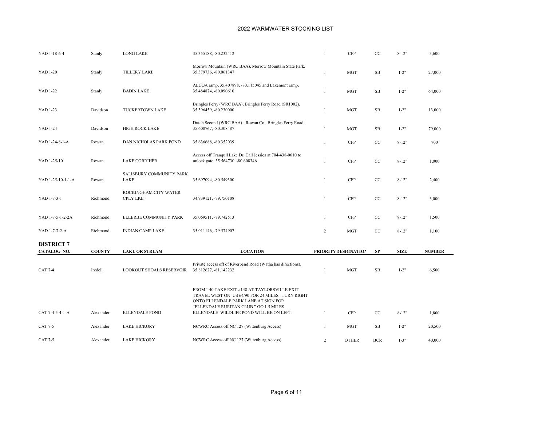| YAD 1-18-6-4      | Stanly        | <b>LONG LAKE</b>                         | 35.355188, -80.232412                                                                                                                                                                 | $\mathbf{1}$   | <b>CFP</b>           | $\rm{CC}$  | $8 - 12"$   | 3,600         |  |
|-------------------|---------------|------------------------------------------|---------------------------------------------------------------------------------------------------------------------------------------------------------------------------------------|----------------|----------------------|------------|-------------|---------------|--|
| YAD 1-20          | Stanly        | <b>TILLERY LAKE</b>                      | Morrow Mountain (WRC BAA), Morrow Mountain State Park.<br>35.379736, -80.061347                                                                                                       | $\mathbf{1}$   | <b>MGT</b>           | <b>SB</b>  | $1 - 2"$    | 27,000        |  |
| YAD 1-22          | Stanly        | <b>BADIN LAKE</b>                        | ALCOA ramp, 35.407898, -80.115045 and Lakemont ramp,<br>35.484874, -80.090610                                                                                                         | $\mathbf{1}$   | <b>MGT</b>           | SB         | $1 - 2"$    | 64,000        |  |
| YAD 1-23          | Davidson      | TUCKERTOWN LAKE                          | Bringles Ferry (WRC BAA), Bringles Ferry Road (SR1002).<br>35.596459, -80.230000                                                                                                      | -1             | <b>MGT</b>           | SB         | $1 - 2"$    | 13,000        |  |
| YAD 1-24          | Davidson      | <b>HIGH ROCK LAKE</b>                    | Dutch Second (WRC BAA) - Rowan Co., Bringles Ferry Road.<br>35.608767, -80.308487                                                                                                     | $\mathbf{1}$   | <b>MGT</b>           | SB         | $1 - 2"$    | 79,000        |  |
| YAD 1-24-8-1-A    | Rowan         | DAN NICHOLAS PARK POND                   | 35.636688, -80.352039                                                                                                                                                                 | $\mathbf{1}$   | <b>CFP</b>           | CC         | $8 - 12"$   | 700           |  |
| YAD 1-25-10       | Rowan         | <b>LAKE CORRIHER</b>                     | Access off Tranquil Lake Dr. Call Jessica at 704-438-0610 to<br>unlock gate. 35.564730, -80.608346                                                                                    | $\overline{1}$ | <b>CFP</b>           | CC         | $8 - 12"$   | 1,000         |  |
| YAD 1-25-10-1-1-A | Rowan         | SALISBURY COMMUNITY PARK<br>LAKE         | 35.697094, -80.549300                                                                                                                                                                 | 1              | <b>CFP</b>           | $\rm{CC}$  | $8 - 12"$   | 2,400         |  |
| YAD 1-7-3-1       | Richmond      | ROCKINGHAM CITY WATER<br><b>CPLY LKE</b> | 34.939121, -79.750108                                                                                                                                                                 | $\overline{1}$ | <b>CFP</b>           | $\rm{CC}$  | $8 - 12"$   | 3,000         |  |
| YAD 1-7-5-1-2-2A  | Richmond      | ELLERBE COMMUNITY PARK                   | 35.069511, -79.742513                                                                                                                                                                 | -1             | CFP                  | CC         | $8 - 12"$   | 1,500         |  |
| YAD 1-7-7-2-A     | Richmond      | <b>INDIAN CAMP LAKE</b>                  | 35.011146, -79.574907                                                                                                                                                                 | $\overline{2}$ | <b>MGT</b>           | $\rm{CC}$  | $8 - 12"$   | 1,100         |  |
| <b>DISTRICT 7</b> |               |                                          |                                                                                                                                                                                       |                |                      |            |             |               |  |
| CATALOG NO.       | <b>COUNTY</b> | <b>LAKE OR STREAM</b>                    | <b>LOCATION</b>                                                                                                                                                                       |                | PRIORITY DESIGNATION | SP         | <b>SIZE</b> | <b>NUMBER</b> |  |
| <b>CAT 7-4</b>    | Iredell       | <b>LOOKOUT SHOALS RESERVOIR</b>          | Private access off of Riverbend Road (Watha has directions).<br>35.812627, -81.142232                                                                                                 | $\overline{1}$ | <b>MGT</b>           | <b>SB</b>  | $1 - 2"$    | 6,500         |  |
|                   |               |                                          | FROM I-40 TAKE EXIT #148 AT TAYLORSVILLE EXIT.<br>TRAVEL WEST ON US 64/90 FOR 24 MILES. TURN RIGHT<br>ONTO ELLENDALE PARK LANE AT SIGN FOR<br>"ELLENDALE RURITAN CLUB." GO 1.5 MILES. |                |                      |            |             |               |  |
| CAT 7-4-5-4-1-A   | Alexander     | <b>ELLENDALE POND</b>                    | ELLENDALE WILDLIFE POND WILL BE ON LEFT.                                                                                                                                              | -1             | <b>CFP</b>           | CC         | $8 - 12"$   | 1,800         |  |
| <b>CAT 7-5</b>    | Alexander     | <b>LAKE HICKORY</b>                      | NCWRC Access off NC 127 (Wittenburg Access)                                                                                                                                           | -1             | MGT                  | SB         | $1 - 2"$    | 20,500        |  |
| CAT 7-5           | Alexander     | <b>LAKE HICKORY</b>                      | NCWRC Access off NC 127 (Wittenburg Access)                                                                                                                                           | 2              | <b>OTHER</b>         | <b>BCR</b> | $1 - 3"$    | 40,000        |  |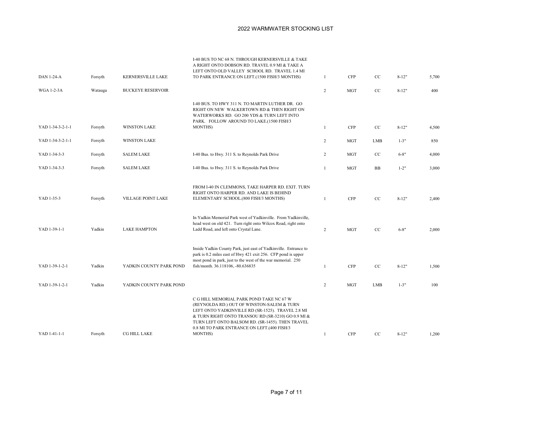| <b>DAN 1-24-A</b> | Forsyth | KERNERSVILLE LAKE         | I-40 BUS TO NC 68 N. THROUGH KERNERSVILLE & TAKE<br>A RIGHT ONTO DOBSON RD. TRAVEL 0.9 MI & TAKE A<br>LEFT ONTO OLD VALLEY SCHOOL RD. TRAVEL 1.4 MI<br>TO PARK ENTRANCE ON LEFT.(1500 FISH/3 MONTHS)                                                                                                                    | $\mathbf{1}$   | <b>CFP</b> | $\rm{CC}$  | $8 - 12"$ | 5,700 |
|-------------------|---------|---------------------------|-------------------------------------------------------------------------------------------------------------------------------------------------------------------------------------------------------------------------------------------------------------------------------------------------------------------------|----------------|------------|------------|-----------|-------|
| <b>WGA 1-2-3A</b> | Watauga | <b>BUCKEYE RESERVOIR</b>  |                                                                                                                                                                                                                                                                                                                         | $\overline{2}$ | <b>MGT</b> | $\rm{CC}$  | $8 - 12"$ | 400   |
| YAD 1-34-3-2-1-1  | Forsyth | <b>WINSTON LAKE</b>       | I-40 BUS. TO HWY 311 N. TO MARTIN LUTHER DR. GO<br>RIGHT ON NEW WALKERTOWN RD & THEN RIGHT ON<br>WATERWORKS RD. GO 200 YDS & TURN LEFT INTO<br>PARK. FOLLOW AROUND TO LAKE.(1500 FISH/3<br><b>MONTHS</b> )                                                                                                              | $\mathbf{1}$   | <b>CFP</b> | $\rm{CC}$  | $8 - 12"$ | 4,500 |
|                   |         |                           |                                                                                                                                                                                                                                                                                                                         |                |            |            |           |       |
| YAD 1-34-3-2-1-1  | Forsyth | <b>WINSTON LAKE</b>       |                                                                                                                                                                                                                                                                                                                         | $\overline{c}$ | <b>MGT</b> | LMB        | $1 - 3"$  | 850   |
| YAD 1-34-3-3      | Forsyth | <b>SALEM LAKE</b>         | I-40 Bus. to Hwy. 311 S. to Reynolds Park Drive                                                                                                                                                                                                                                                                         | $\overline{2}$ | <b>MGT</b> | $\rm{CC}$  | $6 - 8"$  | 4,000 |
| YAD 1-34-3-3      | Forsyth | <b>SALEM LAKE</b>         | I-40 Bus. to Hwy. 311 S. to Reynolds Park Drive                                                                                                                                                                                                                                                                         | $\mathbf{1}$   | <b>MGT</b> | <b>BB</b>  | $1 - 2"$  | 3,000 |
| YAD 1-35-3        | Forsyth | <b>VILLAGE POINT LAKE</b> | FROM I-40 IN CLEMMONS, TAKE HARPER RD. EXIT. TURN<br>RIGHT ONTO HARPER RD. AND LAKE IS BEHIND<br>ELEMENTARY SCHOOL.(800 FISH/3 MONTHS)                                                                                                                                                                                  | 1              | <b>CFP</b> | CC         | $8 - 12"$ | 2,400 |
| YAD 1-39-1-1      | Yadkin  | <b>LAKE HAMPTON</b>       | In Yadkin Memorial Park west of Yadkinville. From Yadkinville,<br>head west on old 421. Turn right onto Wilcox Road, right onto<br>Ladd Road, and left onto Crystal Lane.                                                                                                                                               | 2              | <b>MGT</b> | CC         | $6 - 8"$  | 2,000 |
| YAD 1-39-1-2-1    | Yadkin  | YADKIN COUNTY PARK POND   | Inside Yadkin County Park, just east of Yadkinville. Entrance to<br>park is 0.2 miles east of Hwy 421 exit 256. CFP pond is upper<br>most pond in park, just to the west of the war memorial. 250<br>fish/month. 36.118106, -80.636835                                                                                  | $\mathbf{1}$   | <b>CFP</b> | $\rm{CC}$  | $8 - 12"$ | 1,500 |
| YAD 1-39-1-2-1    | Yadkin  | YADKIN COUNTY PARK POND   |                                                                                                                                                                                                                                                                                                                         | $\overline{c}$ | <b>MGT</b> | <b>LMB</b> | $1 - 3"$  | 100   |
| YAD 1-41-1-1      | Forsyth | CG HILL LAKE              | C G HILL MEMORIAL PARK POND TAKE NC 67 W<br>(REYNOLDA RD.) OUT OF WINSTON-SALEM & TURN<br>LEFT ONTO YADKINVILLE RD (SR-1525). TRAVEL 2.8 MI<br>& TURN RIGHT ONTO TRANSOU RD (SR-3210) GO 0.9 MI &<br>TURN LEFT ONTO BALSOM RD. (SR-1455). THEN TRAVEL<br>0.8 MI TO PARK ENTRANCE ON LEFT.(400 FISH/3<br><b>MONTHS</b> ) | 1              | <b>CFP</b> | CC         | $8 - 12"$ | 1,200 |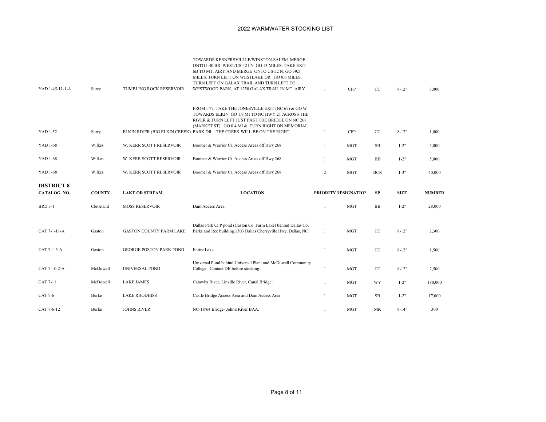| YAD 1-45-11-1-A                  | Surry         | TUMBLING ROCK RESERVOIR        | TOWARDS KERNERSVILLLE/WINSTON-SALEM. MERGE<br>ONTO I-40 BR WEST/US-421 N. GO 13 MILES. TAKE EXIT<br>6B TO MT. AIRY AND MERGE ONTO US-52 N. GO 39.5<br>MILES. TURN LEFT ON WESTLAKE DR. GO 0.6 MILES.<br>TURN LEFT ON GALAX TRAIL AND TURN LEFT TO<br>WESTWOOD PARK, AT 1250 GALAX TRAIL IN MT. AIRY. | -1             | <b>CFP</b>           | CC         | $8 - 12"$   | 3,000         |
|----------------------------------|---------------|--------------------------------|------------------------------------------------------------------------------------------------------------------------------------------------------------------------------------------------------------------------------------------------------------------------------------------------------|----------------|----------------------|------------|-------------|---------------|
| YAD 1-52                         | Surry         |                                | FROM I-77, TAKE THE JONESVILLE EXIT (NC 67) & GO W<br>TOWARDS ELKIN. GO 1.9 MI TO NC HWY 21 ACROSS THE<br>RIVER & TURN LEFT JUST PAST THE BRIDGE ON NC 268<br>(MARKET ST). GO 0.4 MI & TURN RIGHT ON MEMORIAL<br>ELKIN RIVER (BIG ELKIN CREEK) PARK DR. THE CREEK WILL BE ON THE RIGHT.              | 1              | <b>CFP</b>           | CC         | $8 - 12"$   | 1,000         |
| YAD 1-68                         | Wilkes        | W. KERR SCOTT RESERVOIR        | Boomer & Warrior Cr. Access Areas off Hwy 268                                                                                                                                                                                                                                                        | 1              | <b>MGT</b>           | <b>SB</b>  | $1 - 2"$    | 5,000         |
| <b>YAD 1-68</b>                  | Wilkes        | W. KERR SCOTT RESERVOIR        | Boomer & Warrior Cr. Access Areas off Hwy 268                                                                                                                                                                                                                                                        | 1              | <b>MGT</b>           | BB         | $1 - 2"$    | 5,000         |
| YAD 1-68                         | Wilkes        | W. KERR SCOTT RESERVOIR        | Boomer & Warrior Cr. Access Areas off Hwy 268                                                                                                                                                                                                                                                        | $\overline{2}$ | <b>MGT</b>           | <b>BCR</b> | $1 - 3"$    | 40,000        |
| <b>DISTRICT 8</b><br>CATALOG NO. | <b>COUNTY</b> | <b>LAKE OR STREAM</b>          | <b>LOCATION</b>                                                                                                                                                                                                                                                                                      |                | PRIORITY DESIGNATION | <b>SP</b>  | <b>SIZE</b> | <b>NUMBER</b> |
| <b>BRD 3-1</b>                   | Cleveland     | <b>MOSS RESERVOIR</b>          | Dam Access Area                                                                                                                                                                                                                                                                                      | 1              | <b>MGT</b>           | <b>BB</b>  | $1 - 2"$    | 28,000        |
|                                  |               |                                |                                                                                                                                                                                                                                                                                                      |                |                      |            |             |               |
| CAT 7-1-11-A                     | Gaston        | <b>GASTON COUNTY FARM LAKE</b> | Dallas Park CFP pond (Gaston Co. Farm Lake) behind Dallas Co.<br>Parks and Rec building. 1303 Dallas Cherryville Hwy, Dallas, NC                                                                                                                                                                     | 1              | <b>MGT</b>           | CC         | $8 - 12"$   | 2,300         |
| CAT 7-1-5-A                      | Gaston        | <b>GEORGE POSTON PARK POND</b> | Entire Lake                                                                                                                                                                                                                                                                                          | 1              | <b>MGT</b>           | CC         | $8-12"$     | 1,500         |
| CAT 7-10-2-A                     | McDowell      | <b>UNIVERSAL POND</b>          | Universal Pond behind Universal Plant and McDowell Community<br>College. Contact DB before stocking.                                                                                                                                                                                                 | -1             | <b>MGT</b>           | CC         | $8 - 12"$   | 2,500         |
| <b>CAT 7-11</b>                  | McDowell      | <b>LAKE JAMES</b>              | Catawba River, Linville River, Canal Bridge:                                                                                                                                                                                                                                                         | $\mathbf{1}$   | <b>MGT</b>           | WY         | $1 - 2"$    | 180,000       |
| CAT 7-6                          | Burke         | <b>LAKE RHODHISS</b>           | Castle Bridge Access Area and Dam Access Area                                                                                                                                                                                                                                                        | $\mathbf{1}$   | <b>MGT</b>           | <b>SB</b>  | $1 - 2"$    | 17,000        |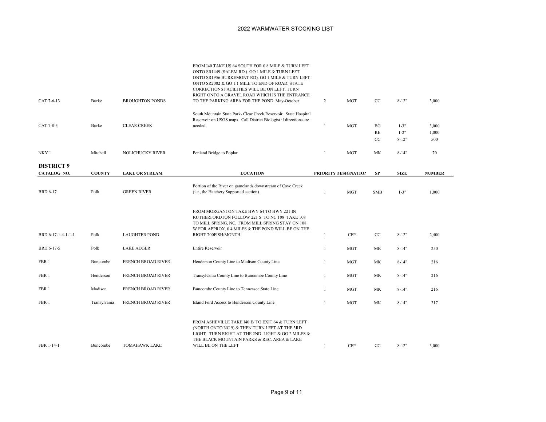| CAT 7-6-13         | Burke         | <b>BROUGHTON PONDS</b>    | FROM I40 TAKE US 64 SOUTH FOR 0.8 MILE & TURN LEFT<br>ONTO SR1449 (SALEM RD.). GO 1 MILE & TURN LEFT<br>ONTO SR1956 BURKEMONT RD). GO 1 MILE & TURN LEFT<br>ONTO SR2002 & GO 1.1 MILE TO END OF ROAD. STATE<br>CORRECTIONS FACILITIES WILL BE ON LEFT. TURN<br>RIGHT ONTO A GRAVEL ROAD WHICH IS THE ENTRANCE<br>TO THE PARKING AREA FOR THE POND. May-October | $\overline{2}$ | <b>MGT</b>           | $_{\rm CC}$ | $8 - 12"$   | 3,000         |
|--------------------|---------------|---------------------------|----------------------------------------------------------------------------------------------------------------------------------------------------------------------------------------------------------------------------------------------------------------------------------------------------------------------------------------------------------------|----------------|----------------------|-------------|-------------|---------------|
|                    |               |                           | South Mountain State Park- Clear Creek Reservoir. State Hospital                                                                                                                                                                                                                                                                                               |                |                      |             |             |               |
|                    |               |                           | Reservoir on USGS maps. Call District Biologist if directions are                                                                                                                                                                                                                                                                                              |                |                      |             |             |               |
| CAT 7-8-3          | Burke         | <b>CLEAR CREEK</b>        | needed.                                                                                                                                                                                                                                                                                                                                                        | $\mathbf{1}$   | <b>MGT</b>           | BG          | $1 - 3"$    | 3,000         |
|                    |               |                           |                                                                                                                                                                                                                                                                                                                                                                |                |                      | RE          | $1 - 2"$    | 1,000         |
|                    |               |                           |                                                                                                                                                                                                                                                                                                                                                                |                |                      | CC          | $8 - 12"$   | 500           |
| NKY <sub>1</sub>   | Mitchell      | <b>NOLICHUCKY RIVER</b>   | Penland Bridge to Poplar                                                                                                                                                                                                                                                                                                                                       | 1              | <b>MGT</b>           | MK          | $8 - 14"$   | 70            |
| <b>DISTRICT 9</b>  |               |                           |                                                                                                                                                                                                                                                                                                                                                                |                |                      |             |             |               |
| CATALOG NO.        | <b>COUNTY</b> | <b>LAKE OR STREAM</b>     | <b>LOCATION</b>                                                                                                                                                                                                                                                                                                                                                |                | PRIORITY DESIGNATION | SP          | <b>SIZE</b> | <b>NUMBER</b> |
| <b>BRD 6-17</b>    | Polk          | <b>GREEN RIVER</b>        | Portion of the River on gamelands downstream of Cove Creek<br>(i.e., the Hatchery Supported section).                                                                                                                                                                                                                                                          | $\mathbf{1}$   | <b>MGT</b>           | <b>SMB</b>  | $1 - 3"$    | 1,000         |
| BRD 6-17-1-4-1-1-1 | Polk          | <b>LAUGHTER POND</b>      | FROM MORGANTON TAKE HWY 64 TO HWY 221 IN<br>RUTHERFORDTON FOLLOW 221 S. TO NC 108 TAKE 108<br>TO MILL SPRING, NC. FROM MILL SPRING STAY ON 108<br>W FOR APPROX. 0.4 MILES & THE POND WILL BE ON THE<br>RIGHT 700FISH/MONTH                                                                                                                                     | -1             | <b>CFP</b>           | CC          | $8 - 12"$   | 2,400         |
| BRD 6-17-5         | Polk          | <b>LAKE ADGER</b>         | Entire Reservoir                                                                                                                                                                                                                                                                                                                                               | $\mathbf{1}$   | <b>MGT</b>           | MK          | $8 - 14"$   | 250           |
| FBR 1              | Buncombe      | <b>FRENCH BROAD RIVER</b> | Henderson County Line to Madison County Line                                                                                                                                                                                                                                                                                                                   | 1              | <b>MGT</b>           | МK          | $8 - 14"$   | 216           |
| FBR 1              | Henderson     | <b>FRENCH BROAD RIVER</b> | Transylvania County Line to Buncombe County Line                                                                                                                                                                                                                                                                                                               | 1              | <b>MGT</b>           | MK          | $8 - 14"$   | 216           |
| FBR 1              | Madison       | FRENCH BROAD RIVER        | Buncombe County Line to Tennessee State Line                                                                                                                                                                                                                                                                                                                   | 1              | <b>MGT</b>           | МK          | $8 - 14"$   | 216           |
| FBR 1              | Transylvania  | <b>FRENCH BROAD RIVER</b> | Island Ford Access to Henderson County Line                                                                                                                                                                                                                                                                                                                    | 1              | <b>MGT</b>           | МK          | $8 - 14"$   | 217           |
| FBR 1-14-1         | Buncombe      | <b>TOMAHAWK LAKE</b>      | FROM ASHEVILLE TAKE I40 E/ TO EXIT 64 & TURN LEFT<br>(NORTH ONTO NC 9) & THEN TURN LEFT AT THE 3RD<br>LIGHT. TURN RIGHT AT THE 2ND LIGHT & GO 2 MILES &<br>THE BLACK MOUNTAIN PARKS & REC. AREA & LAKE<br>WILL BE ON THE LEFT                                                                                                                                  | $\mathbf{1}$   | <b>CFP</b>           | CC          | $8-12"$     | 3,000         |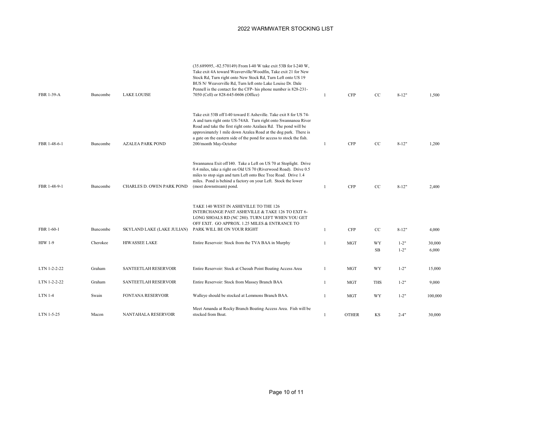| FBR 1-39-A     | Buncombe | <b>LAKE LOUISE</b>                | (35.689095, -82.570149) From I-40 W take exit 53B for I-240 W,<br>Take exit 4A toward Weaverville/Woodfin, Take exit 21 for New<br>Stock Rd, Turn right onto New Stock Rd, Turn Left onto US 19<br>BUS N/Weaverville Rd, Turn left onto Lake Louise Dr. Dale<br>Pennell is the contact for the CFP- his phone number is 828-231-<br>7050 (Cell) or 828-645-0606 (Office)    | 1            | <b>CFP</b>   | CC              | $8 - 12"$            | 1.500           |
|----------------|----------|-----------------------------------|-----------------------------------------------------------------------------------------------------------------------------------------------------------------------------------------------------------------------------------------------------------------------------------------------------------------------------------------------------------------------------|--------------|--------------|-----------------|----------------------|-----------------|
| FBR 1-48-6-1   | Buncombe | <b>AZALEA PARK POND</b>           | Take exit 53B off I-40 toward E Asheville. Take exit 8 for US 74-<br>A and turn right onto US-74Alt. Turn right onto Swannanoa River<br>Road and take the first right onto Azalaea Rd. The pond will be<br>approximately 1 mile down Azalea Road at the dog park. There is<br>a gate on the eastern side of the pond for access to stock the fish.<br>200/month May-October | 1            | <b>CFP</b>   | CC              | $8 - 12"$            | 1,200           |
| FBR 1-48-9-1   | Buncombe | CHARLES D. OWEN PARK POND         | Swannanoa Exit off I40. Take a Left on US 70 at Stoplight. Drive<br>0.4 miles, take a right on Old US 70 (Riverwood Road). Drive 0.5<br>miles to stop sign and turn Left onto Bee Tree Road. Drive 1.4<br>miles. Pond is behind a factory on your Left. Stock the lower<br>(most downstream) pond.                                                                          | -1           | <b>CFP</b>   | CC              | $8 - 12"$            | 2,400           |
| FBR 1-60-1     | Buncombe | <b>SKYLAND LAKE (LAKE JULIAN)</b> | TAKE 140 WEST IN ASHEVILLE TO THE 126<br>INTERCHANGE PAST ASHEVILLE & TAKE 126 TO EXIT 6-<br>LONG SHOALS RD (NC 280). TURN LEFT WHEN YOU GET<br>OFF EXIT. GO APPROX. 1.25 MILES & ENTRANCE TO<br>PARK WILL BE ON YOUR RIGHT                                                                                                                                                 | $\mathbf{1}$ | <b>CFP</b>   | CC              | $8 - 12"$            | 4,000           |
| <b>HIW 1-9</b> | Cherokee | <b>HIWASSEE LAKE</b>              | Entire Reservoir: Stock from the TVA BAA in Murphy                                                                                                                                                                                                                                                                                                                          |              | <b>MGT</b>   | WY<br><b>SB</b> | $1 - 2"$<br>$1 - 2"$ | 30,000<br>6,000 |
| LTN 1-2-2-22   | Graham   | SANTEETLAH RESERVOIR              | Entire Reservoir: Stock at Cheoah Point Boating Access Area                                                                                                                                                                                                                                                                                                                 | $\mathbf{1}$ | <b>MGT</b>   | WY              | $1 - 2"$             | 15,000          |
| LTN 1-2-2-22   | Graham   | SANTEETLAH RESERVOIR              | Entire Reservoir: Stock from Massey Branch BAA                                                                                                                                                                                                                                                                                                                              | $\mathbf{1}$ | <b>MGT</b>   | <b>THS</b>      | $1 - 2"$             | 9,000           |
| LTN 1-4        | Swain    | <b>FONTANA RESERVOIR</b>          | Walleye should be stocked at Lemmons Branch BAA.                                                                                                                                                                                                                                                                                                                            | $\mathbf{1}$ | <b>MGT</b>   | WY              | $1 - 2"$             | 100,000         |
| LTN 1-5-25     | Macon    | <b>NANTAHALA RESERVOIR</b>        | Meet Amanda at Rocky Branch Boating Access Area. Fish will be<br>stocked from Boat.                                                                                                                                                                                                                                                                                         | 1            | <b>OTHER</b> | KS              | $2 - 4"$             | 30,000          |